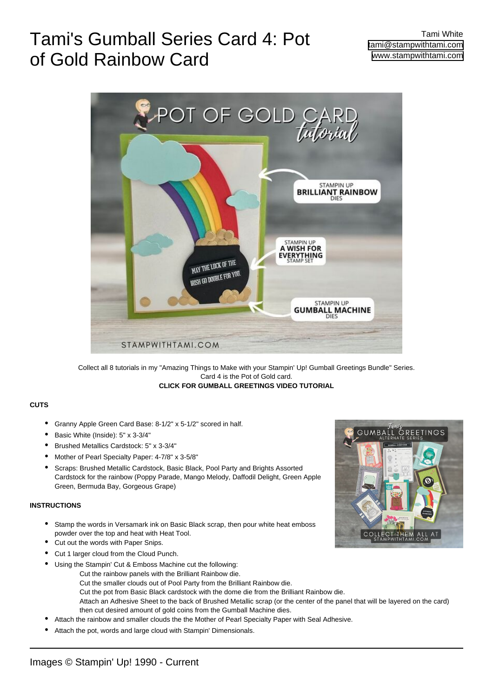# Tami's Gumball Series Card 4: Pot of Gold Rainbow Card



Collect all 8 tutorials in my "Amazing Things to Make with your Stampin' Up! Gumball Greetings Bundle" Series. Card 4 is the Pot of Gold card. **[CLICK FOR GUMBALL GREETINGS VIDEO TUTORIAL](https://stampwithtami.com/?p=61492)**

#### **CUTS**

- Granny Apple Green Card Base: 8-1/2" x 5-1/2" scored in half.
- Basic White (Inside): 5" x 3-3/4"
- Brushed Metallics Cardstock: 5" x 3-3/4"
- Mother of Pearl Specialty Paper: 4-7/8" x 3-5/8"
- Scraps: Brushed Metallic Cardstock, Basic Black, Pool Party and Brights Assorted Cardstock for the rainbow (Poppy Parade, Mango Melody, Daffodil Delight, Green Apple Green, Bermuda Bay, Gorgeous Grape) •

### **INSTRUCTIONS**

- Stamp the words in Versamark ink on Basic Black scrap, then pour white heat emboss powder over the top and heat with Heat Tool. •
- Cut out the words with Paper Snips.
- Cut 1 larger cloud from the Cloud Punch.
- Using the Stampin' Cut & Emboss Machine cut the following: •
	- Cut the rainbow panels with the Brilliant Rainbow die.
		- Cut the smaller clouds out of Pool Party from the Brilliant Rainbow die.
		- Cut the pot from Basic Black cardstock with the dome die from the Brilliant Rainbow die.
			- Attach an Adhesive Sheet to the back of Brushed Metallic scrap (or the center of the panel that will be layered on the card) then cut desired amount of gold coins from the Gumball Machine dies.
- Attach the rainbow and smaller clouds the the Mother of Pearl Specialty Paper with Seal Adhesive.
- Attach the pot, words and large cloud with Stampin' Dimensionals.

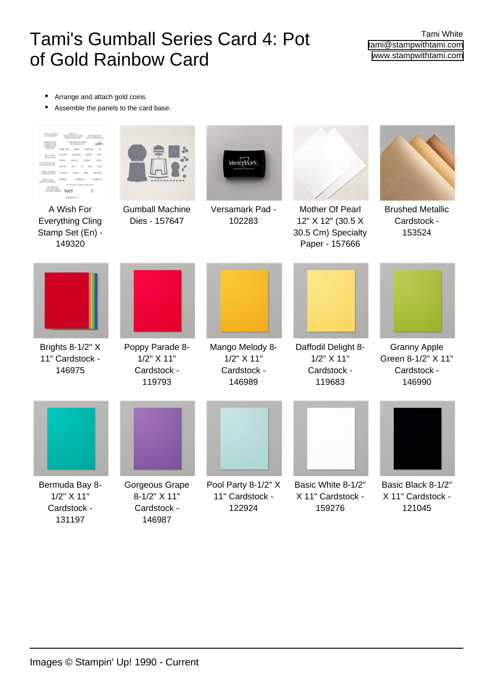# Tami's Gumball Series Card 4: Pot of Gold Rainbow Card

Tami White [tami@stampwithtami.com](mailto:tami@stampwithtami.com) [www.stampwithtami.com](http://www.stampwithtami.com)

- Arrange and attach gold coins.
- Assemble the panels to the card base.

|                                                                     |                                                                  | <i>lers`aMark</i>                                                |                                                                              |                                                                    |
|---------------------------------------------------------------------|------------------------------------------------------------------|------------------------------------------------------------------|------------------------------------------------------------------------------|--------------------------------------------------------------------|
| A Wish For<br><b>Everything Cling</b><br>Stamp Set (En) -<br>149320 | <b>Gumball Machine</b><br>Dies - 157647                          | Versamark Pad -<br>102283                                        | Mother Of Pearl<br>12" X 12" (30.5 X<br>30.5 Cm) Specialty<br>Paper - 157666 | <b>Brushed Metallic</b><br>Cardstock -<br>153524                   |
|                                                                     |                                                                  |                                                                  |                                                                              |                                                                    |
| Brights 8-1/2" X<br>11" Cardstock -<br>146975                       | Poppy Parade 8-<br>$1/2$ " $\times$ 11"<br>Cardstock -<br>119793 | Mango Melody 8-<br>$1/2$ " $\times$ 11"<br>Cardstock -<br>146989 | Daffodil Delight 8-<br>$1/2$ " $\times$ 11"<br>Cardstock -<br>119683         | <b>Granny Apple</b><br>Green 8-1/2" X 11"<br>Cardstock -<br>146990 |
|                                                                     |                                                                  |                                                                  |                                                                              |                                                                    |
| Bermuda Bay 8-<br>$1/2$ " $\times$ 11"<br>Cardstock -<br>131197     | Gorgeous Grape<br>8-1/2" X 11"<br>Cardstock -<br>146987          | Pool Party 8-1/2" X<br>11" Cardstock -<br>122924                 | Basic White 8-1/2"<br>X 11" Cardstock -<br>159276                            | Basic Black 8-1/2"<br>X 11" Cardstock -<br>121045                  |